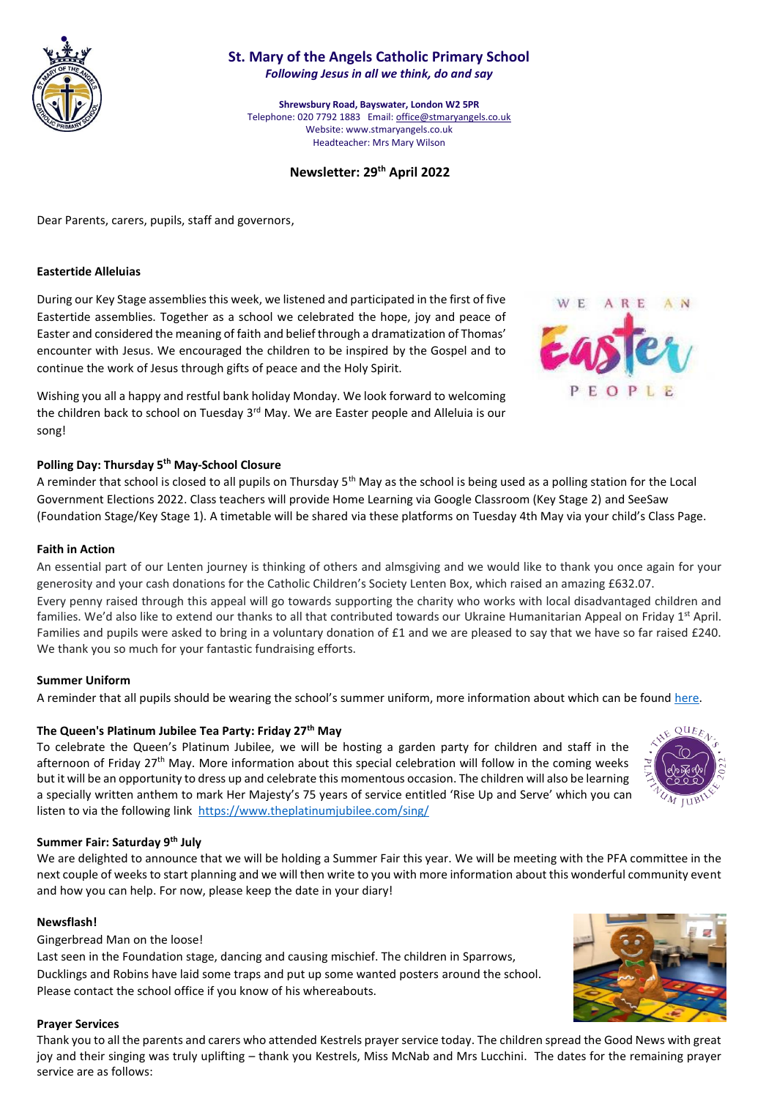

# **St. Mary of the Angels Catholic Primary School** *Following Jesus in all we think, do and say*

**Shrewsbury Road, Bayswater, London W2 5PR** Telephone: 020 7792 1883 Email[: office@stmaryangels.co.uk](mailto:office@stmaryangels.co.uk) Website: www.stmaryangels.co.uk Headteacher: Mrs Mary Wilson

# **Newsletter: 29th April 2022**

Dear Parents, carers, pupils, staff and governors,

## **Eastertide Alleluias**

During our Key Stage assemblies this week, we listened and participated in the first of five Eastertide assemblies. Together as a school we celebrated the hope, joy and peace of Easter and considered the meaning of faith and belief through a dramatization of Thomas' encounter with Jesus. We encouraged the children to be inspired by the Gospel and to continue the work of Jesus through gifts of peace and the Holy Spirit.

Wishing you all a happy and restful bank holiday Monday. We look forward to welcoming the children back to school on Tuesday  $3<sup>rd</sup>$  May. We are Easter people and Alleluia is our song!

## **Polling Day: Thursday 5th May-School Closure**

A reminder that school is closed to all pupils on Thursday 5<sup>th</sup> May as the school is being used as a polling station for the Local Government Elections 2022. Class teachers will provide Home Learning via Google Classroom (Key Stage 2) and SeeSaw (Foundation Stage/Key Stage 1). A timetable will be shared via these platforms on Tuesday 4th May via your child's Class Page.

## **Faith in Action**

An essential part of our Lenten journey is thinking of others and almsgiving and we would like to thank you once again for your generosity and your cash donations for the Catholic Children's Society Lenten Box, which raised an amazing £632.07. Every penny raised through this appeal will go towards supporting the charity who works with local disadvantaged children and families. We'd also like to extend our thanks to all that contributed towards our Ukraine Humanitarian Appeal on Friday 1<sup>st</sup> April. Families and pupils were asked to bring in a voluntary donation of £1 and we are pleased to say that we have so far raised £240. We thank you so much for your fantastic fundraising efforts.

## **Summer Uniform**

A reminder that all pupils should be wearing the school's summer uniform, more information about which can be found [here.](http://www.stmaryangels.co.uk/parental_information/school_uniform/school_uniform.html)

## **The Queen's Platinum Jubilee Tea Party: Friday 27th May**

To celebrate the Queen's Platinum Jubilee, we will be hosting a garden party for children and staff in the afternoon of Friday 27<sup>th</sup> May. More information about this special celebration will follow in the coming weeks but it will be an opportunity to dress up and celebrate this momentous occasion. The children will also be learning a specially written anthem to mark Her Majesty's 75 years of service entitled 'Rise Up and Serve' which you can listen to via the following link <https://www.theplatinumjubilee.com/sing/>

#### **Summer Fair: Saturday 9th July**

We are delighted to announce that we will be holding a Summer Fair this year. We will be meeting with the PFA committee in the next couple of weeks to start planning and we will then write to you with more information about this wonderful community event and how you can help. For now, please keep the date in your diary!

#### **Newsflash!**

Gingerbread Man on the loose!

Last seen in the Foundation stage, dancing and causing mischief. The children in Sparrows, Ducklings and Robins have laid some traps and put up some wanted posters around the school. Please contact the school office if you know of his whereabouts.

## **Prayer Services**

Thank you to all the parents and carers who attended Kestrels prayer service today. The children spread the Good News with great joy and their singing was truly uplifting – thank you Kestrels, Miss McNab and Mrs Lucchini. The dates for the remaining prayer service are as follows: